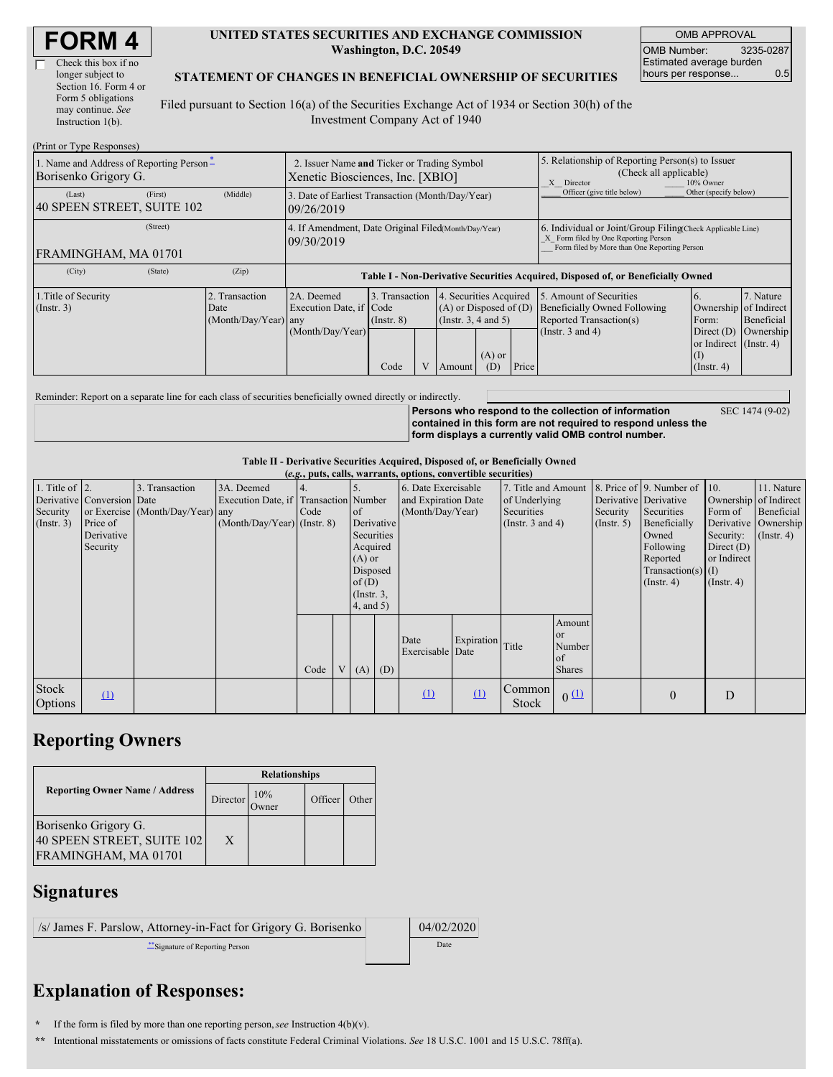| Check this box if no  |
|-----------------------|
| longer subject to     |
| Section 16. Form 4 or |
| Form 5 obligations    |
| may continue. See     |
| Instruction $1(b)$ .  |
|                       |

#### **UNITED STATES SECURITIES AND EXCHANGE COMMISSION Washington, D.C. 20549**

OMB APPROVAL OMB Number: 3235-0287 Estimated average burden hours per response... 0.5

#### **STATEMENT OF CHANGES IN BENEFICIAL OWNERSHIP OF SECURITIES**

Filed pursuant to Section 16(a) of the Securities Exchange Act of 1934 or Section 30(h) of the Investment Company Act of 1940

| (Print or Type Responses)                                        |                                                                                 |                                                                    |                                                                                  |                                           |  |                                                                                        |                                                                                                       |                                                                                                                                                    |                                                                                                             |                                                                                              |                                      |  |
|------------------------------------------------------------------|---------------------------------------------------------------------------------|--------------------------------------------------------------------|----------------------------------------------------------------------------------|-------------------------------------------|--|----------------------------------------------------------------------------------------|-------------------------------------------------------------------------------------------------------|----------------------------------------------------------------------------------------------------------------------------------------------------|-------------------------------------------------------------------------------------------------------------|----------------------------------------------------------------------------------------------|--------------------------------------|--|
| 1. Name and Address of Reporting Person-<br>Borisenko Grigory G. | 2. Issuer Name and Ticker or Trading Symbol<br>Xenetic Biosciences, Inc. [XBIO] |                                                                    |                                                                                  |                                           |  |                                                                                        | 5. Relationship of Reporting Person(s) to Issuer<br>(Check all applicable)<br>10% Owner<br>X Director |                                                                                                                                                    |                                                                                                             |                                                                                              |                                      |  |
| (Last)<br>40 SPEEN STREET, SUITE 102                             | (First)                                                                         | (Middle)                                                           | 3. Date of Earliest Transaction (Month/Day/Year)<br>109/26/2019                  |                                           |  |                                                                                        |                                                                                                       |                                                                                                                                                    | Officer (give title below)                                                                                  | Other (specify below)                                                                        |                                      |  |
|                                                                  |                                                                                 | 4. If Amendment, Date Original Filed(Month/Day/Year)<br>09/30/2019 |                                                                                  |                                           |  |                                                                                        |                                                                                                       | 6. Individual or Joint/Group Filing(Check Applicable Line)<br>X Form filed by One Reporting Person<br>Form filed by More than One Reporting Person |                                                                                                             |                                                                                              |                                      |  |
| FRAMINGHAM, MA 01701                                             |                                                                                 |                                                                    |                                                                                  |                                           |  |                                                                                        |                                                                                                       |                                                                                                                                                    |                                                                                                             |                                                                                              |                                      |  |
| (City)                                                           | (State)                                                                         | (Zip)                                                              | Table I - Non-Derivative Securities Acquired, Disposed of, or Beneficially Owned |                                           |  |                                                                                        |                                                                                                       |                                                                                                                                                    |                                                                                                             |                                                                                              |                                      |  |
| 1. Title of Security<br>$($ Instr. 3 $)$                         |                                                                                 | 2. Transaction<br>Date<br>(Month/Day/Year) any                     | 2A. Deemed<br>Execution Date, if Code<br>(Month/Day/Year)                        | 3. Transaction<br>$($ Instr. $8)$<br>Code |  | 4. Securities Acquired<br>$(A)$ or Disposed of $(D)$<br>(Insert. 3, 4 and 5)<br>Amount | $(A)$ or<br>(D)                                                                                       | Price                                                                                                                                              | 5. Amount of Securities<br>Beneficially Owned Following<br>Reported Transaction(s)<br>(Instr. $3$ and $4$ ) | Ownership of Indirect<br>Form:<br>Direct $(D)$<br>or Indirect (Instr. 4)<br>$($ Instr. 4 $)$ | 7. Nature<br>Beneficial<br>Ownership |  |

Reminder: Report on a separate line for each class of securities beneficially owned directly or indirectly.

**Persons who respond to the collection of information contained in this form are not required to respond unless the form displays a currently valid OMB control number.**

SEC 1474 (9-02)

### **Table II - Derivative Securities Acquired, Disposed of, or Beneficially Owned**

|                                                   | (e.g., puts, calls, warrants, options, convertible securities)   |                                                    |                                                                                      |      |                |                                                                                                     |            |                                                                |            |                        |                                                               |  |                                                                                                                                                               |                                                                                        |                                                                                            |
|---------------------------------------------------|------------------------------------------------------------------|----------------------------------------------------|--------------------------------------------------------------------------------------|------|----------------|-----------------------------------------------------------------------------------------------------|------------|----------------------------------------------------------------|------------|------------------------|---------------------------------------------------------------|--|---------------------------------------------------------------------------------------------------------------------------------------------------------------|----------------------------------------------------------------------------------------|--------------------------------------------------------------------------------------------|
| 1. Title of $\vert$ 2.<br>Security<br>(Insert. 3) | Derivative Conversion Date<br>Price of<br>Derivative<br>Security | 3. Transaction<br>or Exercise (Month/Day/Year) any | 3A. Deemed<br>Execution Date, if Transaction Number<br>$(Month/Day/Year)$ (Instr. 8) | Code |                | of<br>Securities<br>Acquired<br>$(A)$ or<br>Disposed<br>of(D)<br>$($ Instr. $3,$<br>$4$ , and $5$ ) | Derivative | 6. Date Exercisable<br>and Expiration Date<br>(Month/Day/Year) |            | Securities             | 7. Title and Amount<br>of Underlying<br>(Instr. $3$ and $4$ ) |  | 8. Price of 9. Number of<br>Derivative Derivative<br>Securities<br>Beneficially<br>Owned<br>Following<br>Reported<br>$Transaction(s)$ (I)<br>$($ Instr. 4 $)$ | $\vert$ 10.<br>Form of<br>Security:<br>Direct $(D)$<br>or Indirect<br>$($ Instr. 4 $)$ | 11. Nature<br>Ownership of Indirect<br>Beneficial<br>Derivative Ownership<br>$($ Instr. 4) |
|                                                   |                                                                  |                                                    |                                                                                      | Code | V <sub>1</sub> | (A)                                                                                                 | (D)        | Date<br>Exercisable Date                                       | Expiration | Title                  | Amount<br><sub>or</sub><br>Number<br>of<br><b>Shares</b>      |  |                                                                                                                                                               |                                                                                        |                                                                                            |
| Stock<br><b>Options</b>                           | $\Omega$                                                         |                                                    |                                                                                      |      |                |                                                                                                     |            | $\mathbf{u}$                                                   | $\Omega$   | Common<br><b>Stock</b> | 0(1)                                                          |  | $\theta$                                                                                                                                                      | D                                                                                      |                                                                                            |

## **Reporting Owners**

|                                                                            | <b>Relationships</b> |              |         |       |  |  |  |
|----------------------------------------------------------------------------|----------------------|--------------|---------|-------|--|--|--|
| <b>Reporting Owner Name / Address</b>                                      | Director             | 10%<br>)wner | Officer | Other |  |  |  |
| Borisenko Grigory G.<br>40 SPEEN STREET, SUITE 102<br>FRAMINGHAM, MA 01701 | X                    |              |         |       |  |  |  |

### **Signatures**

| /s/ James F. Parslow, Attorney-in-Fact for Grigory G. Borisenko | 04/02/2020 |
|-----------------------------------------------------------------|------------|
| "Signature of Reporting Person                                  | Date       |

# **Explanation of Responses:**

**\*** If the form is filed by more than one reporting person,*see* Instruction 4(b)(v).

**\*\*** Intentional misstatements or omissions of facts constitute Federal Criminal Violations. *See* 18 U.S.C. 1001 and 15 U.S.C. 78ff(a).